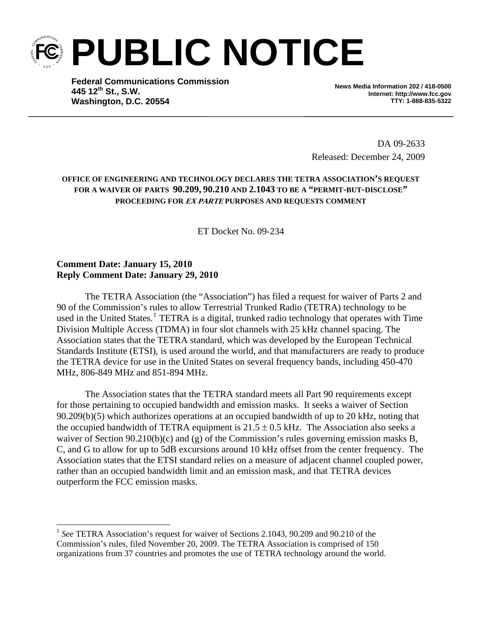**PUBLIC NOTICE** 

**Federal Communications Commission 445 12th St., S.W. Washington, D.C. 20554**

**News Media Information 202 / 418-0500 Internet: http://www.fcc.gov TTY: 1-888-835-5322** 

DA 09-2633 Released: December 24, 2009

## **OFFICE OF ENGINEERING AND TECHNOLOGY DECLARES THE TETRA ASSOCIATION'S REQUEST FOR A WAIVER OF PARTS 90.209, 90.210 AND 2.1043 TO BE A "PERMIT-BUT-DISCLOSE" PROCEEDING FOR EX PARTE PURPOSES AND REQUESTS COMMENT**

ET Docket No. 09-234

## **Comment Date: January 15, 2010 Reply Comment Date: January 29, 2010**

 $\overline{\phantom{a}}$ 

The TETRA Association (the "Association") has filed a request for waiver of Parts 2 and 90 of the Commission's rules to allow Terrestrial Trunked Radio (TETRA) technology to be used in the United States.<sup>[1](#page-0-0)</sup> TETRA is a digital, trunked radio technology that operates with Time Division Multiple Access (TDMA) in four slot channels with 25 kHz channel spacing. The Association states that the TETRA standard, which was developed by the European Technical Standards Institute (ETSI), is used around the world, and that manufacturers are ready to produce the TETRA device for use in the United States on several frequency bands, including 450-470 MHz, 806-849 MHz and 851-894 MHz.

The Association states that the TETRA standard meets all Part 90 requirements except for those pertaining to occupied bandwidth and emission masks. It seeks a waiver of Section 90.209(b)(5) which authorizes operations at an occupied bandwidth of up to 20 kHz, noting that the occupied bandwidth of TETRA equipment is  $21.5 \pm 0.5$  kHz. The Association also seeks a waiver of Section 90.210(b)(c) and (g) of the Commission's rules governing emission masks B, C, and G to allow for up to 5dB excursions around 10 kHz offset from the center frequency. The Association states that the ETSI standard relies on a measure of adjacent channel coupled power, rather than an occupied bandwidth limit and an emission mask, and that TETRA devices outperform the FCC emission masks.

<span id="page-0-0"></span><sup>&</sup>lt;sup>1</sup> See TETRA Association's request for waiver of Sections 2.1043, 90.209 and 90.210 of the Commission's rules, filed November 20, 2009. The TETRA Association is comprised of 150 organizations from 37 countries and promotes the use of TETRA technology around the world.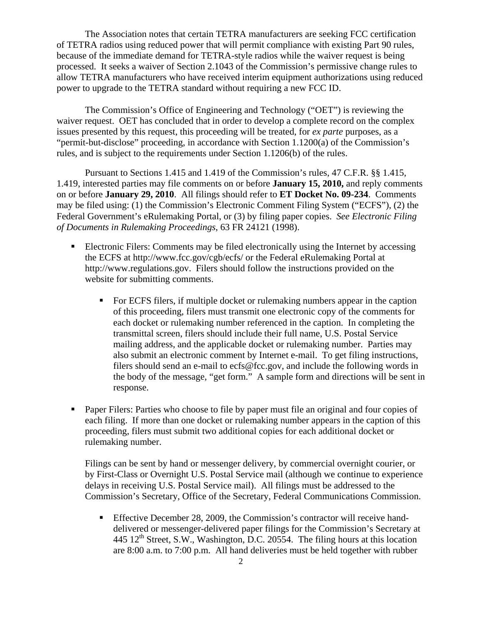The Association notes that certain TETRA manufacturers are seeking FCC certification of TETRA radios using reduced power that will permit compliance with existing Part 90 rules, because of the immediate demand for TETRA-style radios while the waiver request is being processed. It seeks a waiver of Section 2.1043 of the Commission's permissive change rules to allow TETRA manufacturers who have received interim equipment authorizations using reduced power to upgrade to the TETRA standard without requiring a new FCC ID.

The Commission's Office of Engineering and Technology ("OET") is reviewing the waiver request. OET has concluded that in order to develop a complete record on the complex issues presented by this request, this proceeding will be treated, for *ex parte* purposes, as a "permit-but-disclose" proceeding, in accordance with Section 1.1200(a) of the Commission's rules, and is subject to the requirements under Section 1.1206(b) of the rules.

Pursuant to Sections 1.415 and 1.419 of the Commission's rules, 47 C.F.R. §§ 1.415, 1.419, interested parties may file comments on or before **January 15, 2010,** and reply comments on or before **January 29, 2010**. All filings should refer to **ET Docket No. 09-234**. Comments may be filed using: (1) the Commission's Electronic Comment Filing System ("ECFS"), (2) the Federal Government's eRulemaking Portal, or (3) by filing paper copies. *See Electronic Filing of Documents in Rulemaking Proceedings*, 63 FR 24121 (1998).

- Electronic Filers: Comments may be filed electronically using the Internet by accessing the ECFS at http://www.fcc.gov/cgb/ecfs/ or the Federal eRulemaking Portal at http://www.regulations.gov. Filers should follow the instructions provided on the website for submitting comments.
	- For ECFS filers, if multiple docket or rulemaking numbers appear in the caption of this proceeding, filers must transmit one electronic copy of the comments for each docket or rulemaking number referenced in the caption. In completing the transmittal screen, filers should include their full name, U.S. Postal Service mailing address, and the applicable docket or rulemaking number. Parties may also submit an electronic comment by Internet e-mail. To get filing instructions, filers should send an e-mail to ecfs@fcc.gov, and include the following words in the body of the message, "get form." A sample form and directions will be sent in response.
- Paper Filers: Parties who choose to file by paper must file an original and four copies of each filing. If more than one docket or rulemaking number appears in the caption of this proceeding, filers must submit two additional copies for each additional docket or rulemaking number.

Filings can be sent by hand or messenger delivery, by commercial overnight courier, or by First-Class or Overnight U.S. Postal Service mail (although we continue to experience delays in receiving U.S. Postal Service mail). All filings must be addressed to the Commission's Secretary, Office of the Secretary, Federal Communications Commission.

Effective December 28, 2009, the Commission's contractor will receive handdelivered or messenger-delivered paper filings for the Commission's Secretary at 445  $12^{th}$  Street, S.W., Washington, D.C. 20554. The filing hours at this location are 8:00 a.m. to 7:00 p.m. All hand deliveries must be held together with rubber